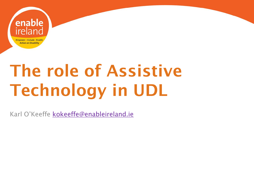

# The role of Assistive Technology in UDL

Karl O'Keeffe [kokeeffe@enableireland.ie](mailto:kokeeffe@enableireland.ie)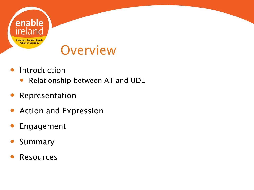

### **Overview**

- Introduction
	- Relationship between AT and UDL
- Representation
- Action and Expression
- Engagement
- Summary
- Resources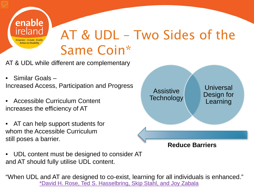

## AT & UDL – Two Sides of the Same Coin\*

AT & UDL while different are complementary

- Similar Goals Increased Access, Participation and Progress
- Accessible Curriculum Content increases the efficiency of AT
- AT can help support students for whom the Accessible Curriculum still poses a barrier.



• UDL content must be designed to consider AT and AT should fully utilise UDL content.

"When UDL and AT are designed to co-exist, learning for all individuals is enhanced." [\\*David H. Rose, Ted S. Hasselbring, Skip Stahl, and Joy Zabala](https://spnd453cohort7.wikispaces.com/file/view/Assistive Technology and UDL_TwoSidesoftheCoin.pdf/531589030/Assistive Technology and UDL_TwoSidesoftheCoin.pdf)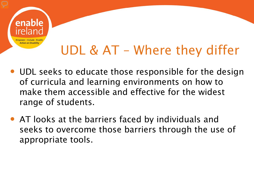

## UDL & AT – Where they differ

- UDL seeks to educate those responsible for the design of curricula and learning environments on how to make them accessible and effective for the widest range of students.
- AT looks at the barriers faced by individuals and seeks to overcome those barriers through the use of appropriate tools.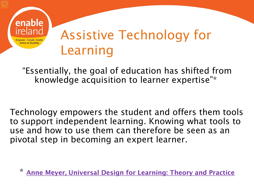

### Assistive Technology for Learning

"Essentially, the goal of education has shifted from knowledge acquisition to learner expertise"\*

Technology empowers the student and offers them tools to support independent learning. Knowing what tools to use and how to use them can therefore be seen as an pivotal step in becoming an expert learner.

[Anne Meyer, Universal Design for Learning: Theory and Practice](http://udltheorypractice.cast.org/login)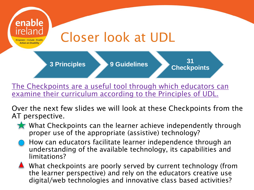

[The Checkpoints are a useful tool through which educators can](http://www.udlcenter.org/sites/udlcenter.org/files/Guidelines_2.0_Educator_Worksheet_0.doc)  [examine their curriculum according to the Principles of UDL.](http://www.udlcenter.org/sites/udlcenter.org/files/Guidelines_2.0_Educator_Worksheet_0.doc) 

Over the next few slides we will look at these Checkpoints from the AT perspective.

- What Checkpoints can the learner achieve independently through proper use of the appropriate (assistive) technology?
- How can educators facilitate learner independence through an understanding of the available technology, its capabilities and limitations?  $\overline{a}$

What checkpoints are poorly served by current technology (from the learner perspective) and rely on the educators creative use digital/web technologies and innovative class based activities?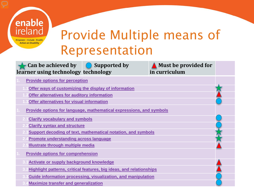

### **Can be achieved by learner using technology technology Supported by Must be provided for in curriculum**  J

 $\overline{a}$ 

J

J

 $\overline{a}$ J

#### **[Provide options for perception](https://sites.google.com/site/udlguidelinesexamples/home/provide-multiple-means-of-representation/provide-options-for-perception)**

- **1.1[Offer ways of customizing the display of information](https://sites.google.com/site/udlguidelinesexamples/home/provide-multiple-means-of-representation/provide-options-for-perception/offer-ways-of-customizing-the-display-of-information)**
- **1.2[Offer alternatives for auditory information](https://sites.google.com/site/udlguidelinesexamples/home/provide-multiple-means-of-representation/provide-options-for-perception/offer-alternatives-for-auditory-information)**
- **1.3[Offer alternatives for visual information](https://sites.google.com/site/udlguidelinesexamples/home/provide-multiple-means-of-representation/provide-options-for-perception/offer-alternatives-for-visual-information)**
- **1. [Provide options for language, mathematical expressions, and symbols](https://sites.google.com/site/udlguidelinesexamples/home/provide-multiple-means-of-representation/provide-options-for-language-mathematical-expressions-and-symbols)**
	- **2.1[Clarify vocabulary and symbols](https://sites.google.com/site/udlguidelinesexamples/home/provide-multiple-means-of-representation/provide-options-for-language-mathematical-expressions-and-symbols/clarify-vocabulary-and-symbols)**
	- **2.2Clarify syntax and structure**
	- **2.3[Support decoding of text, mathematical notation, and symbols](https://sites.google.com/site/udlguidelinesexamples/home/provide-multiple-means-of-representation/provide-options-for-language-mathematical-expressions-and-symbols/support-decoding-text-mathematical-notation-and-symbolx)**
	- **2.4[Promote understanding across language](https://sites.google.com/site/udlguidelinesexamples/home/provide-multiple-means-of-representation/provide-options-for-language-mathematical-expressions-and-symbols/promote-understanding-across-languages)**
	- **2.5[Illustrate through multiple media](https://sites.google.com/site/udlguidelinesexamples/home/provide-multiple-means-of-representation/provide-options-for-language-mathematical-expressions-and-symbols/illustrate-through-multiple-media)**
- **1. [Provide options for comprehension](https://sites.google.com/site/udlguidelinesexamples/home/provide-multiple-means-of-representation/provide-options-for-comprehension)**
	- **3.1[Activate or supply background knowledge](https://sites.google.com/site/udlguidelinesexamples/home/provide-multiple-means-of-representation/provide-options-for-comprehension/activate-or-supply-background-knowledge)**
	- **3.2[Highlight patterns, critical features, big ideas, and relationships](https://sites.google.com/site/udlguidelinesexamples/home/provide-multiple-means-of-representation/provide-options-for-comprehension/highlight-patterns-critical-features-big-ideas-and-relationships)**
	- **3.3[Guide information processing, visualization, and manipulation](https://sites.google.com/site/udlguidelinesexamples/home/provide-multiple-means-of-representation/provide-options-for-comprehension/guide-information-processing-visualization-and-manipulation)**
	- **3.4[Maximize transfer and generalization](https://sites.google.com/site/udlguidelinesexamples/home/provide-multiple-means-of-representation/provide-options-for-comprehension/maximize-transfer-and-generalization)**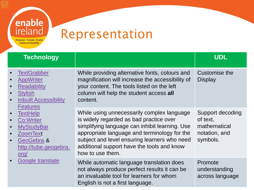## Representation

enable<br>ireland

Empower - Include - Enable **Action on Disability** 

| <b>Technology</b>                                                                                                                                                                                                                                                                   |                                                                                                                                                                                                                                                                                                           | <b>UDL</b>                                                                |
|-------------------------------------------------------------------------------------------------------------------------------------------------------------------------------------------------------------------------------------------------------------------------------------|-----------------------------------------------------------------------------------------------------------------------------------------------------------------------------------------------------------------------------------------------------------------------------------------------------------|---------------------------------------------------------------------------|
| <b>TextGrabber</b><br><b>AppWriter</b><br><b>Readability</b><br><b>Stylish</b><br><b>Inbuilt Accessibility</b><br><b>Features</b><br><b>TextHelp</b><br>Co:Writer<br><b>MyStudyBar</b><br><b>ZoomText</b><br>GeoGebra &<br>http://tube.geogebra.<br><u>org/</u><br>Google translate | While providing alternative fonts, colours and<br>magnification will increase the accessibility of<br>your content. The tools listed on the left<br>column will help the student access all<br>content.                                                                                                   | Customise the<br><b>Display</b>                                           |
|                                                                                                                                                                                                                                                                                     | While using unnecessarily complex language<br>is widely regarded as bad practice over<br>simplifying language can inhibit learning. Use<br>appropriate language and terminology for the<br>subject and level ensuring learners who need<br>additional support have the tools and know<br>how to use them. | Support decoding<br>of text,<br>mathematical<br>notation, and<br>symbols. |
|                                                                                                                                                                                                                                                                                     | While automatic language translation does<br>not always produce perfect results it can be<br>an invaluable tool for learners for whom<br>English is not a first language.                                                                                                                                 | Promote<br>understanding<br>across language                               |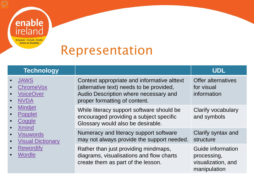

### Representation

| <b>Technology</b>                                                                                                                                                                                                    |                                                                                                                                                                   | <b>UDL</b>                                                             |
|----------------------------------------------------------------------------------------------------------------------------------------------------------------------------------------------------------------------|-------------------------------------------------------------------------------------------------------------------------------------------------------------------|------------------------------------------------------------------------|
| <b>JAWS</b><br>$\bullet$<br><b>ChromeVox</b><br><b>VoiceOver</b><br><b>NVDA</b><br><b>Mindjet</b><br>Popplet<br>Coggle<br><b>Xmind</b><br><b>Visuwords</b><br><b>Visual Dictionary</b><br><b>Rewordify</b><br>Wordle | Context appropriate and informative alttext<br>(alternative text) needs to be provided,<br>Audio Description where necessary and<br>proper formatting of content. | <b>Offer alternatives</b><br>for visual<br>information                 |
|                                                                                                                                                                                                                      | While literacy support software should be<br>encouraged providing a subject specific<br>Glossary would also be desirable.                                         | Clarify vocabulary<br>and symbols                                      |
|                                                                                                                                                                                                                      | Numeracy and literacy support software<br>may not always provide the support needed.                                                                              | Clarify syntax and<br>structure                                        |
|                                                                                                                                                                                                                      | Rather than just providing mindmaps,<br>diagrams, visualisations and flow charts<br>create them as part of the lesson.                                            | Guide information<br>processing,<br>visualization, and<br>manipulation |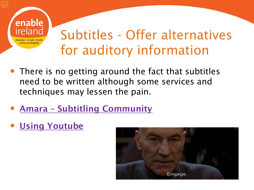

### Subtitles - Offer alternatives for auditory information

- There is no getting around the fact that subtitles need to be written although some services and techniques may lessen the pain.
- Amara [Subtitling Community](https://amara.org/en/)
- [Using Youtube](https://youtu.be/ldF4eGALzvs)

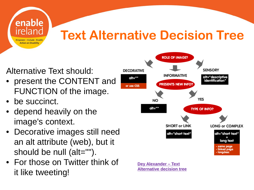

### Alternative Text should:

- present the CONTENT and FUNCTION of the image.
- be succinct.
- depend heavily on the image's context.
- Decorative images still need an alt attribute (web), but it should be null (alt="").
- For those on Twitter think of it like tweeting!



**[Dey Alexander –](http://www.4syllables.com.au/2010/12/text-alternatives-decision-tree/) Text [Alternative decision tree](http://www.4syllables.com.au/2010/12/text-alternatives-decision-tree/)**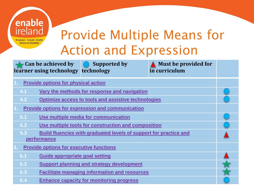| enable<br>reland<br><b>Empower - Include - Enable</b><br><b>Action on Disability</b>           | <b>Action and Expression</b>                         | <b>Provide Multiple Means for</b>            |  |
|------------------------------------------------------------------------------------------------|------------------------------------------------------|----------------------------------------------|--|
| Can be achieved by<br>learner using technology technology                                      | <b>Supported by</b>                                  | <b>Must be provided for</b><br>in curriculum |  |
| <b>Provide options for physical action</b>                                                     |                                                      |                                              |  |
| 4.1                                                                                            | Vary the methods for response and navigation         |                                              |  |
| 4.2<br><b>Optimize access to tools and assistive technologies</b>                              |                                                      |                                              |  |
| <b>Provide options for expression and communication</b>                                        |                                                      |                                              |  |
| Use multiple media for communication<br>5.1                                                    |                                                      |                                              |  |
| Use multiple tools for construction and composition<br>5.2                                     |                                                      |                                              |  |
| 5.3<br><b>Build fluencies with graduated levels of support for practice and</b><br>performance |                                                      |                                              |  |
| <b>Provide options for executive functions</b>                                                 |                                                      |                                              |  |
| <b>Guide appropriate goal setting</b><br>6.1                                                   |                                                      |                                              |  |
| 6.2                                                                                            | <b>Support planning and strategy development</b>     |                                              |  |
| 6.3                                                                                            | <b>Facilitate managing information and resources</b> |                                              |  |
| 6.4                                                                                            | <b>Enhance capacity for monitoring progress</b>      |                                              |  |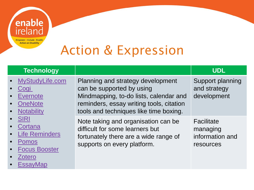

**[EssayMap](http://www.readwritethink.org/files/resources/interactives/essaymap/)** 

## Action & Expression

#### **Technology UDL** • [MyStudyLife.com](https://www.mystudylife.com/) • [Cogi](https://play.google.com/store/apps/details?id=com.cogi.mobile&hl=en) **[Evernote](https://evernote.com/?var=3) [OneNote](https://www.onenote.com/) [Notability](https://itunes.apple.com/ie/app/notability/id360593530?mt=8) [SIRI](http://www.apple.com/ios/siri/) [Cortana](http://windows.microsoft.com/en-us/windows-10/getstarted-what-is-cortana)** [Life Reminders](https://play.google.com/store/apps/details?id=com.payneservices.LifeReminders) • [Pomos](https://chrome.google.com/webstore/detail/pomos/kiglmacaijmiiffieooipbehidnefnfb) • [Focus Booster](https://www.focusboosterapp.com/) **Zotero** Planning and strategy development can be supported by using Mindmapping, to-do lists, calendar and reminders, essay writing tools, citation tools and techniques like time boxing. Support planning and strategy development Note taking and organisation can be difficult for some learners but fortunately there are a wide range of supports on every platform. **Facilitate** managing information and resources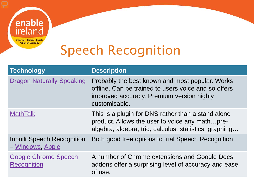

## Speech Recognition

| <b>Technology</b>                                     | <b>Description</b>                                                                                                                                                    |
|-------------------------------------------------------|-----------------------------------------------------------------------------------------------------------------------------------------------------------------------|
| <b>Dragon Naturally Speaking</b>                      | Probably the best known and most popular. Works<br>offline. Can be trained to users voice and so offers<br>improved accuracy. Premium version highly<br>customisable. |
| <b>MathTalk</b>                                       | This is a plugin for DNS rather than a stand alone<br>product. Allows the user to voice any mathpre-<br>algebra, algebra, trig, calculus, statistics, graphing        |
| <b>Inbuilt Speech Recognition</b><br>- Windows, Apple | Both good free options to trial Speech Recognition                                                                                                                    |
| <b>Google Chrome Speech</b><br><b>Recognition</b>     | A number of Chrome extensions and Google Docs<br>addons offer a surprising level of accuracy and ease<br>of use.                                                      |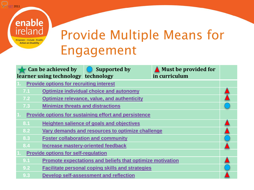### © [CAST](http://www.cast.org/) 2011

### enable ireland Empower - Include - Enable **Action on Disability**

## Provide Multiple Means for Engagement

|                                                                | Can be achieved by<br>learner using technology technology | <b>Supported by</b>                                       | <b>Must be provided for</b><br>in curriculum |  |
|----------------------------------------------------------------|-----------------------------------------------------------|-----------------------------------------------------------|----------------------------------------------|--|
| <b>Provide options for recruiting interest</b>                 |                                                           |                                                           |                                              |  |
| 7.1                                                            |                                                           | <b>Optimize individual choice and autonomy</b>            |                                              |  |
| 7.2 <sub>1</sub>                                               |                                                           | <b>Optimize relevance, value, and authenticity</b>        |                                              |  |
| <b>Minimize threats and distractions</b><br>7.3                |                                                           |                                                           |                                              |  |
| <b>Provide options for sustaining effort and persistence</b>   |                                                           |                                                           |                                              |  |
| 8.1                                                            | <b>Heighten salience of goals and objectives</b>          |                                                           |                                              |  |
| 8.2                                                            |                                                           | Vary demands and resources to optimize challenge          |                                              |  |
| 8.3                                                            |                                                           | <b>Foster collaboration and community</b>                 |                                              |  |
| 8.4<br><b>Increase mastery-oriented feedback</b>               |                                                           |                                                           |                                              |  |
| <b>Provide options for self-regulation</b>                     |                                                           |                                                           |                                              |  |
| 9.1                                                            |                                                           | Promote expectations and beliefs that optimize motivation |                                              |  |
| <b>Facilitate personal coping skills and strategies</b><br>9.2 |                                                           |                                                           |                                              |  |
| 9.3                                                            |                                                           | Develop self-assessment and reflection                    |                                              |  |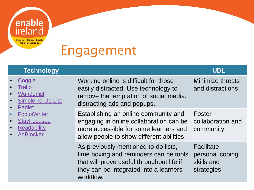

### Engagement

### **Technology UDL**

#### **[Coggle](https://chrome.google.com/webstore/detail/coggle/hbcapocoafbfccjgdgammadkndakcfoi) [Trello](https://trello.com/) [Wunderlist](https://chrome.google.com/webstore/detail/wunderlist-to-do-and-task/fjliknjliaohjgjajlgolhijphojjdkc)** [Simple To-Do List](https://chrome.google.com/webstore/detail/simple-to-do-list/jimdhomgkpmmhhcegiebdajlkmjgikaf) • [Padlet](https://chrome.google.com/webstore/detail/padlet/ppckapbnfhikdajgehibjapcohbaomhd) **[FocusWriter](http://gottcode.org/focuswriter/) [StayFocused](https://chrome.google.com/webstore/detail/stayfocusd/laankejkbhbdhmipfmgcngdelahlfoji) [Readability](https://www.readability.com/) [AdBlocker](https://chrome.google.com/webstore/detail/adblock/gighmmpiobklfepjocnamgkkbiglidom)** Working online is difficult for those easily distracted. Use technology to remove the temptation of social media, distracting ads and popups. Minimize threats and distractions Establishing an online community and engaging in online collaboration can be more accessible for some learners and allow people to show different abilities. Foster collaboration and community As previously mentioned to-do lists, time boxing and reminders can be tools that will prove useful throughout life if they can be integrated into a learners workflow. **Facilitate** personal coping skills and strategies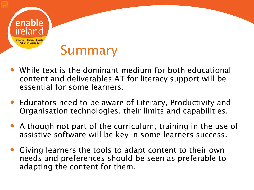

- While text is the dominant medium for both educational content and deliverables AT for literacy support will be essential for some learners.
- Educators need to be aware of Literacy, Productivity and Organisation technologies. their limits and capabilities.
- Although not part of the curriculum, training in the use of assistive software will be key in some learners success.
- Giving learners the tools to adapt content to their own needs and preferences should be seen as preferable to adapting the content for them.